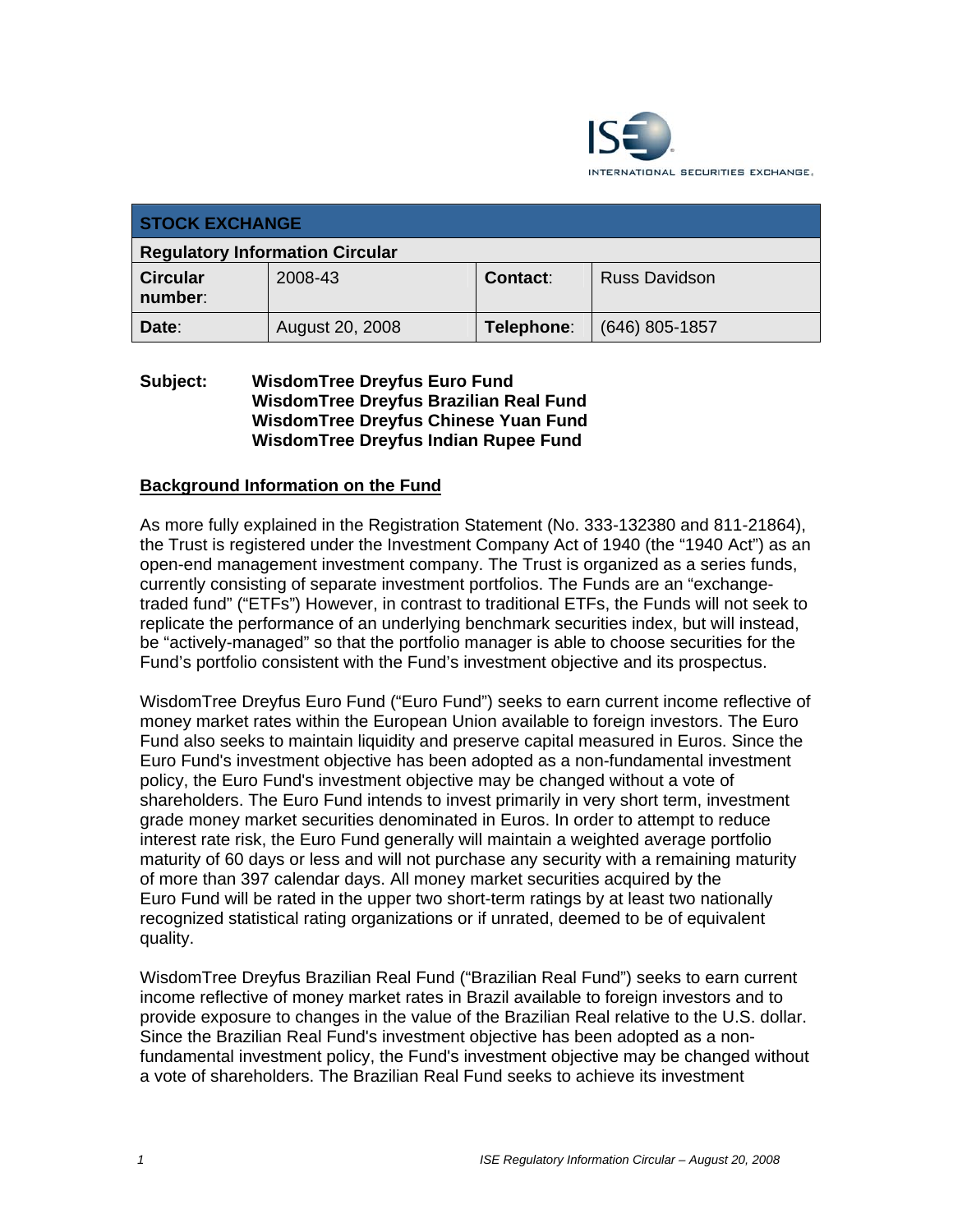

| <b>STOCK EXCHANGE</b>                  |                 |            |                      |  |
|----------------------------------------|-----------------|------------|----------------------|--|
| <b>Regulatory Information Circular</b> |                 |            |                      |  |
| <b>Circular</b><br>number:             | 2008-43         | Contact:   | <b>Russ Davidson</b> |  |
| Date:                                  | August 20, 2008 | Telephone: | $(646)$ 805-1857     |  |

#### **Subject: WisdomTree Dreyfus Euro Fund WisdomTree Dreyfus Brazilian Real Fund WisdomTree Dreyfus Chinese Yuan Fund WisdomTree Dreyfus Indian Rupee Fund**

#### **Background Information on the Fund**

As more fully explained in the Registration Statement (No. 333-132380 and 811-21864), the Trust is registered under the Investment Company Act of 1940 (the "1940 Act") as an open-end management investment company. The Trust is organized as a series funds, currently consisting of separate investment portfolios. The Funds are an "exchangetraded fund" ("ETFs") However, in contrast to traditional ETFs, the Funds will not seek to replicate the performance of an underlying benchmark securities index, but will instead, be "actively-managed" so that the portfolio manager is able to choose securities for the Fund's portfolio consistent with the Fund's investment objective and its prospectus.

WisdomTree Dreyfus Euro Fund ("Euro Fund") seeks to earn current income reflective of money market rates within the European Union available to foreign investors. The Euro Fund also seeks to maintain liquidity and preserve capital measured in Euros. Since the Euro Fund's investment objective has been adopted as a non-fundamental investment policy, the Euro Fund's investment objective may be changed without a vote of shareholders. The Euro Fund intends to invest primarily in very short term, investment grade money market securities denominated in Euros. In order to attempt to reduce interest rate risk, the Euro Fund generally will maintain a weighted average portfolio maturity of 60 days or less and will not purchase any security with a remaining maturity of more than 397 calendar days. All money market securities acquired by the Euro Fund will be rated in the upper two short-term ratings by at least two nationally recognized statistical rating organizations or if unrated, deemed to be of equivalent quality.

WisdomTree Dreyfus Brazilian Real Fund ("Brazilian Real Fund") seeks to earn current income reflective of money market rates in Brazil available to foreign investors and to provide exposure to changes in the value of the Brazilian Real relative to the U.S. dollar. Since the Brazilian Real Fund's investment objective has been adopted as a nonfundamental investment policy, the Fund's investment objective may be changed without a vote of shareholders. The Brazilian Real Fund seeks to achieve its investment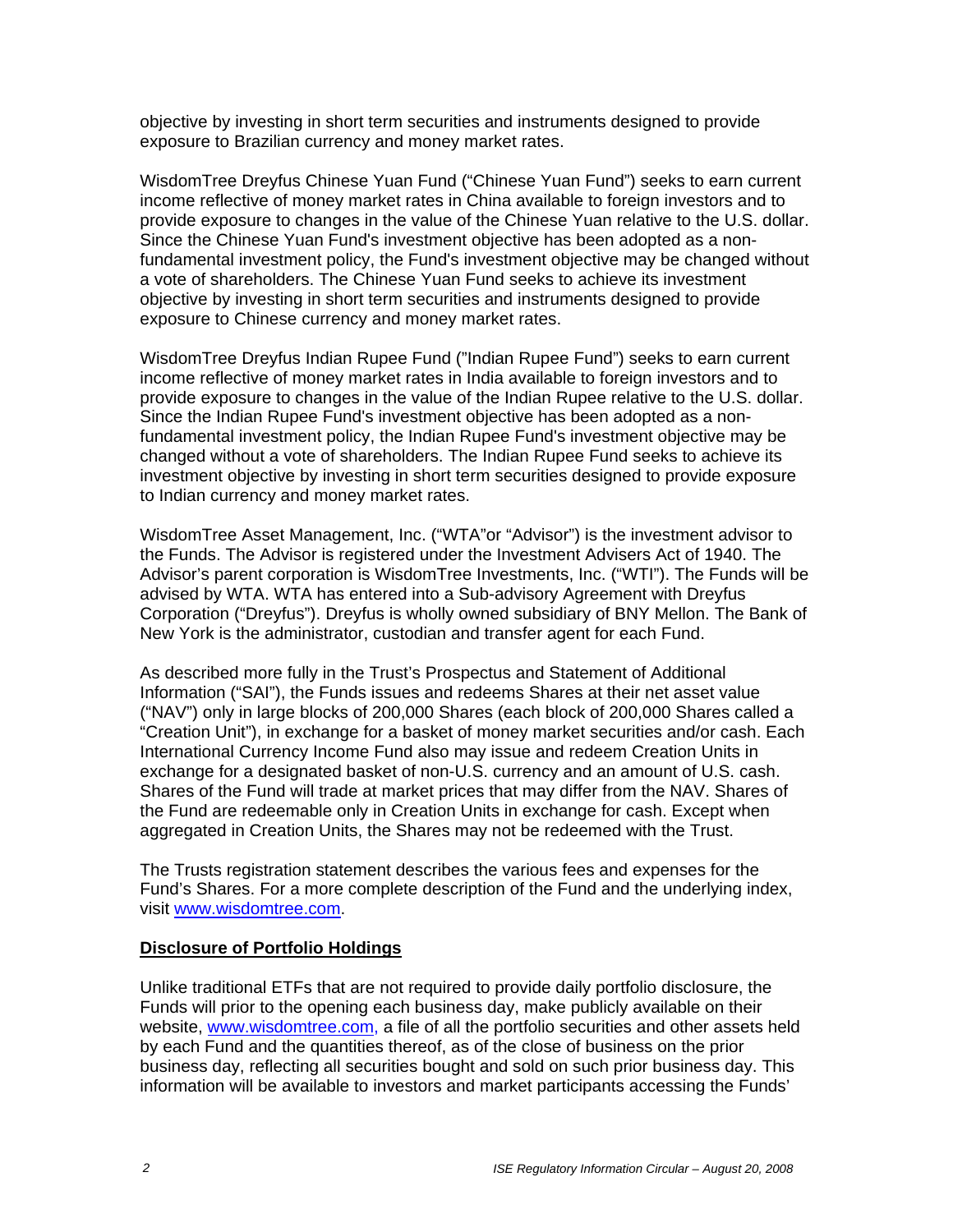objective by investing in short term securities and instruments designed to provide exposure to Brazilian currency and money market rates.

WisdomTree Dreyfus Chinese Yuan Fund ("Chinese Yuan Fund") seeks to earn current income reflective of money market rates in China available to foreign investors and to provide exposure to changes in the value of the Chinese Yuan relative to the U.S. dollar. Since the Chinese Yuan Fund's investment objective has been adopted as a nonfundamental investment policy, the Fund's investment objective may be changed without a vote of shareholders. The Chinese Yuan Fund seeks to achieve its investment objective by investing in short term securities and instruments designed to provide exposure to Chinese currency and money market rates.

WisdomTree Dreyfus Indian Rupee Fund ("Indian Rupee Fund") seeks to earn current income reflective of money market rates in India available to foreign investors and to provide exposure to changes in the value of the Indian Rupee relative to the U.S. dollar. Since the Indian Rupee Fund's investment objective has been adopted as a nonfundamental investment policy, the Indian Rupee Fund's investment objective may be changed without a vote of shareholders. The Indian Rupee Fund seeks to achieve its investment objective by investing in short term securities designed to provide exposure to Indian currency and money market rates.

WisdomTree Asset Management, Inc. ("WTA"or "Advisor") is the investment advisor to the Funds. The Advisor is registered under the Investment Advisers Act of 1940. The Advisor's parent corporation is WisdomTree Investments, Inc. ("WTI"). The Funds will be advised by WTA. WTA has entered into a Sub-advisory Agreement with Dreyfus Corporation ("Dreyfus"). Dreyfus is wholly owned subsidiary of BNY Mellon. The Bank of New York is the administrator, custodian and transfer agent for each Fund.

As described more fully in the Trust's Prospectus and Statement of Additional Information ("SAI"), the Funds issues and redeems Shares at their net asset value ("NAV") only in large blocks of 200,000 Shares (each block of 200,000 Shares called a "Creation Unit"), in exchange for a basket of money market securities and/or cash. Each International Currency Income Fund also may issue and redeem Creation Units in exchange for a designated basket of non-U.S. currency and an amount of U.S. cash. Shares of the Fund will trade at market prices that may differ from the NAV. Shares of the Fund are redeemable only in Creation Units in exchange for cash. Except when aggregated in Creation Units, the Shares may not be redeemed with the Trust.

The Trusts registration statement describes the various fees and expenses for the Fund's Shares. For a more complete description of the Fund and the underlying index, visit www.wisdomtree.com.

#### **Disclosure of Portfolio Holdings**

Unlike traditional ETFs that are not required to provide daily portfolio disclosure, the Funds will prior to the opening each business day, make publicly available on their website, www.wisdomtree.com, a file of all the portfolio securities and other assets held by each Fund and the quantities thereof, as of the close of business on the prior business day, reflecting all securities bought and sold on such prior business day. This information will be available to investors and market participants accessing the Funds'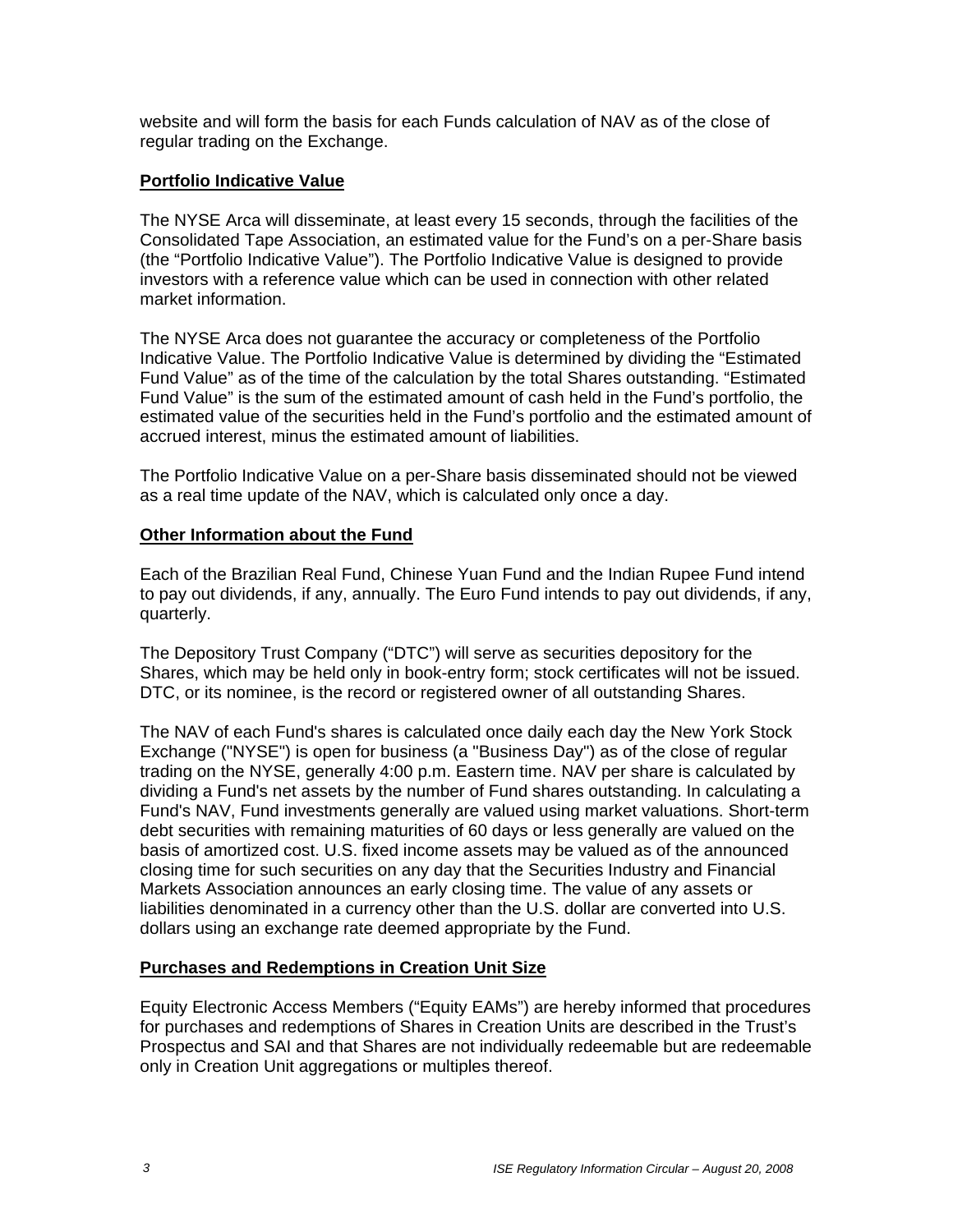website and will form the basis for each Funds calculation of NAV as of the close of regular trading on the Exchange.

#### **Portfolio Indicative Value**

The NYSE Arca will disseminate, at least every 15 seconds, through the facilities of the Consolidated Tape Association, an estimated value for the Fund's on a per-Share basis (the "Portfolio Indicative Value"). The Portfolio Indicative Value is designed to provide investors with a reference value which can be used in connection with other related market information.

The NYSE Arca does not guarantee the accuracy or completeness of the Portfolio Indicative Value. The Portfolio Indicative Value is determined by dividing the "Estimated Fund Value" as of the time of the calculation by the total Shares outstanding. "Estimated Fund Value" is the sum of the estimated amount of cash held in the Fund's portfolio, the estimated value of the securities held in the Fund's portfolio and the estimated amount of accrued interest, minus the estimated amount of liabilities.

The Portfolio Indicative Value on a per-Share basis disseminated should not be viewed as a real time update of the NAV, which is calculated only once a day.

#### **Other Information about the Fund**

Each of the Brazilian Real Fund, Chinese Yuan Fund and the Indian Rupee Fund intend to pay out dividends, if any, annually. The Euro Fund intends to pay out dividends, if any, quarterly.

The Depository Trust Company ("DTC") will serve as securities depository for the Shares, which may be held only in book-entry form; stock certificates will not be issued. DTC, or its nominee, is the record or registered owner of all outstanding Shares.

The NAV of each Fund's shares is calculated once daily each day the New York Stock Exchange ("NYSE") is open for business (a "Business Day") as of the close of regular trading on the NYSE, generally 4:00 p.m. Eastern time. NAV per share is calculated by dividing a Fund's net assets by the number of Fund shares outstanding. In calculating a Fund's NAV, Fund investments generally are valued using market valuations. Short-term debt securities with remaining maturities of 60 days or less generally are valued on the basis of amortized cost. U.S. fixed income assets may be valued as of the announced closing time for such securities on any day that the Securities Industry and Financial Markets Association announces an early closing time. The value of any assets or liabilities denominated in a currency other than the U.S. dollar are converted into U.S. dollars using an exchange rate deemed appropriate by the Fund.

#### **Purchases and Redemptions in Creation Unit Size**

Equity Electronic Access Members ("Equity EAMs") are hereby informed that procedures for purchases and redemptions of Shares in Creation Units are described in the Trust's Prospectus and SAI and that Shares are not individually redeemable but are redeemable only in Creation Unit aggregations or multiples thereof.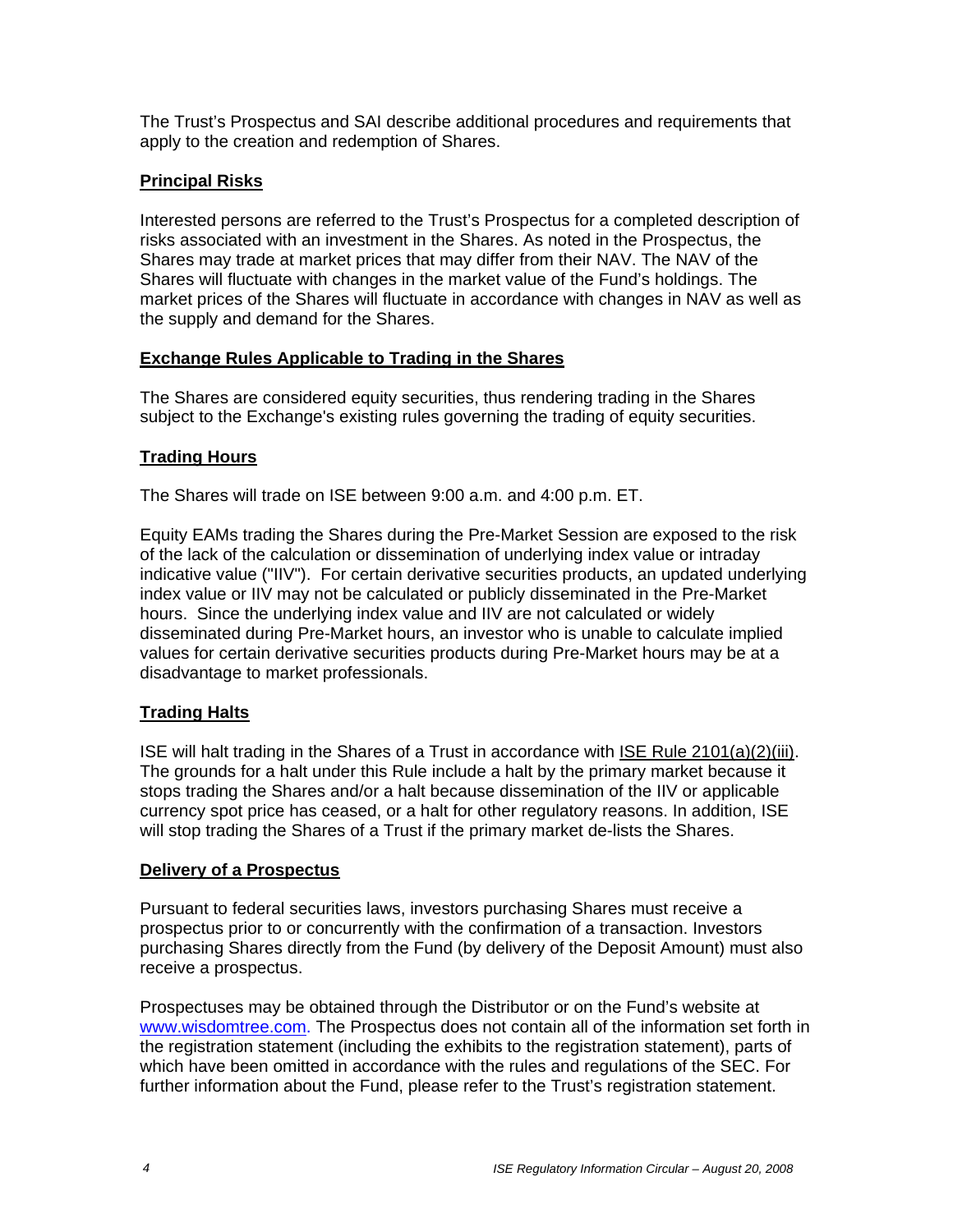The Trust's Prospectus and SAI describe additional procedures and requirements that apply to the creation and redemption of Shares.

# **Principal Risks**

Interested persons are referred to the Trust's Prospectus for a completed description of risks associated with an investment in the Shares. As noted in the Prospectus, the Shares may trade at market prices that may differ from their NAV. The NAV of the Shares will fluctuate with changes in the market value of the Fund's holdings. The market prices of the Shares will fluctuate in accordance with changes in NAV as well as the supply and demand for the Shares.

#### **Exchange Rules Applicable to Trading in the Shares**

The Shares are considered equity securities, thus rendering trading in the Shares subject to the Exchange's existing rules governing the trading of equity securities.

# **Trading Hours**

The Shares will trade on ISE between 9:00 a.m. and 4:00 p.m. ET.

Equity EAMs trading the Shares during the Pre-Market Session are exposed to the risk of the lack of the calculation or dissemination of underlying index value or intraday indicative value ("IIV"). For certain derivative securities products, an updated underlying index value or IIV may not be calculated or publicly disseminated in the Pre-Market hours. Since the underlying index value and IIV are not calculated or widely disseminated during Pre-Market hours, an investor who is unable to calculate implied values for certain derivative securities products during Pre-Market hours may be at a disadvantage to market professionals.

#### **Trading Halts**

ISE will halt trading in the Shares of a Trust in accordance with ISE Rule 2101(a)(2)(iii). The grounds for a halt under this Rule include a halt by the primary market because it stops trading the Shares and/or a halt because dissemination of the IIV or applicable currency spot price has ceased, or a halt for other regulatory reasons. In addition, ISE will stop trading the Shares of a Trust if the primary market de-lists the Shares.

#### **Delivery of a Prospectus**

Pursuant to federal securities laws, investors purchasing Shares must receive a prospectus prior to or concurrently with the confirmation of a transaction. Investors purchasing Shares directly from the Fund (by delivery of the Deposit Amount) must also receive a prospectus.

Prospectuses may be obtained through the Distributor or on the Fund's website at www.wisdomtree.com. The Prospectus does not contain all of the information set forth in the registration statement (including the exhibits to the registration statement), parts of which have been omitted in accordance with the rules and regulations of the SEC. For further information about the Fund, please refer to the Trust's registration statement.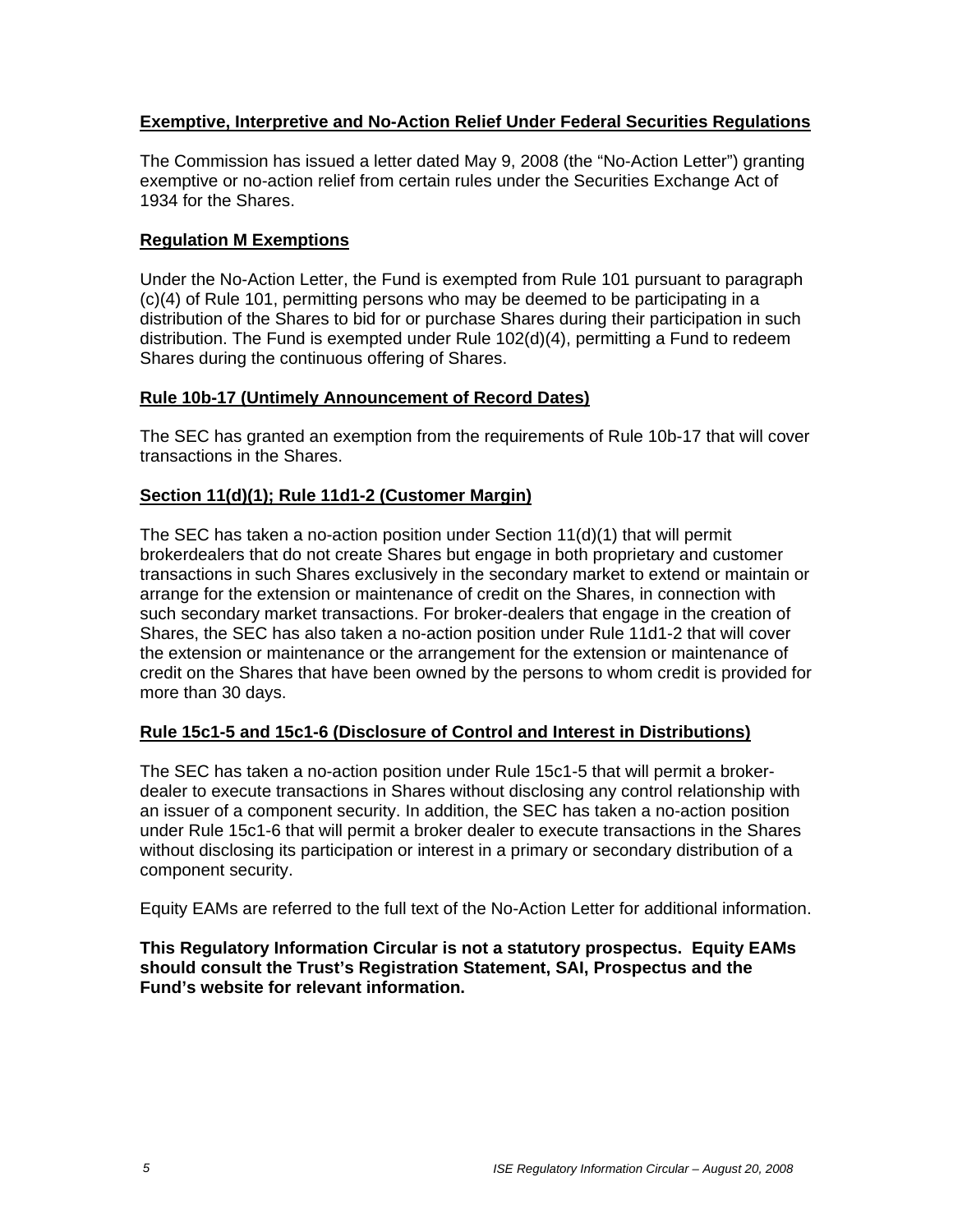# **Exemptive, Interpretive and No-Action Relief Under Federal Securities Regulations**

The Commission has issued a letter dated May 9, 2008 (the "No-Action Letter") granting exemptive or no-action relief from certain rules under the Securities Exchange Act of 1934 for the Shares.

# **Regulation M Exemptions**

Under the No-Action Letter, the Fund is exempted from Rule 101 pursuant to paragraph (c)(4) of Rule 101, permitting persons who may be deemed to be participating in a distribution of the Shares to bid for or purchase Shares during their participation in such distribution. The Fund is exempted under Rule 102(d)(4), permitting a Fund to redeem Shares during the continuous offering of Shares.

#### **Rule 10b-17 (Untimely Announcement of Record Dates)**

The SEC has granted an exemption from the requirements of Rule 10b-17 that will cover transactions in the Shares.

# **Section 11(d)(1); Rule 11d1-2 (Customer Margin)**

The SEC has taken a no-action position under Section 11(d)(1) that will permit brokerdealers that do not create Shares but engage in both proprietary and customer transactions in such Shares exclusively in the secondary market to extend or maintain or arrange for the extension or maintenance of credit on the Shares, in connection with such secondary market transactions. For broker-dealers that engage in the creation of Shares, the SEC has also taken a no-action position under Rule 11d1-2 that will cover the extension or maintenance or the arrangement for the extension or maintenance of credit on the Shares that have been owned by the persons to whom credit is provided for more than 30 days.

#### **Rule 15c1-5 and 15c1-6 (Disclosure of Control and Interest in Distributions)**

The SEC has taken a no-action position under Rule 15c1-5 that will permit a brokerdealer to execute transactions in Shares without disclosing any control relationship with an issuer of a component security. In addition, the SEC has taken a no-action position under Rule 15c1-6 that will permit a broker dealer to execute transactions in the Shares without disclosing its participation or interest in a primary or secondary distribution of a component security.

Equity EAMs are referred to the full text of the No-Action Letter for additional information.

**This Regulatory Information Circular is not a statutory prospectus. Equity EAMs should consult the Trust's Registration Statement, SAI, Prospectus and the Fund's website for relevant information.**